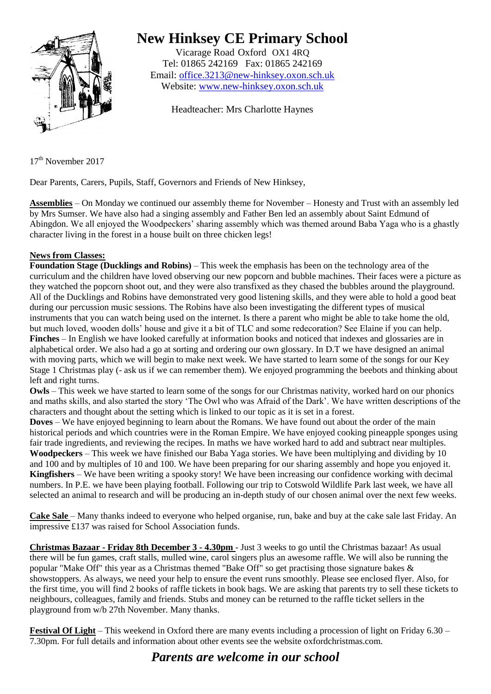

## **New Hinksey CE Primary School**

Vicarage Road Oxford OX1 4RQ Tel: 01865 242169 Fax: 01865 242169 Email: [office.3213@new-hinksey.oxon.sch.uk](mailto:office.3213@new-hinksey.oxon.sch.uk) Website: [www.new-hinksey.oxon.sch.uk](http://www.new-hinksey.oxon.sch.uk/)

Headteacher: Mrs Charlotte Haynes

17 th November 2017

Dear Parents, Carers, Pupils, Staff, Governors and Friends of New Hinksey,

**Assemblies** – On Monday we continued our assembly theme for November – Honesty and Trust with an assembly led by Mrs Sumser. We have also had a singing assembly and Father Ben led an assembly about Saint Edmund of Abingdon. We all enjoyed the Woodpeckers' sharing assembly which was themed around Baba Yaga who is a ghastly character living in the forest in a house built on three chicken legs!

## **News from Classes:**

**Foundation Stage (Ducklings and Robins)** – This week the emphasis has been on the technology area of the curriculum and the children have loved observing our new popcorn and bubble machines. Their faces were a picture as they watched the popcorn shoot out, and they were also transfixed as they chased the bubbles around the playground. All of the Ducklings and Robins have demonstrated very good listening skills, and they were able to hold a good beat during our percussion music sessions. The Robins have also been investigating the different types of musical instruments that you can watch being used on the internet. Is there a parent who might be able to take home the old, but much loved, wooden dolls' house and give it a bit of TLC and some redecoration? See Elaine if you can help. **Finches** – In English we have looked carefully at information books and noticed that indexes and glossaries are in alphabetical order. We also had a go at sorting and ordering our own glossary. In D.T we have designed an animal with moving parts, which we will begin to make next week. We have started to learn some of the songs for our Key Stage 1 Christmas play (- ask us if we can remember them). We enjoyed programming the beebots and thinking about left and right turns.

**Owls** – This week we have started to learn some of the songs for our Christmas nativity, worked hard on our phonics and maths skills, and also started the story 'The Owl who was Afraid of the Dark'. We have written descriptions of the characters and thought about the setting which is linked to our topic as it is set in a forest.

**Doves** – We have enjoyed beginning to learn about the Romans. We have found out about the order of the main historical periods and which countries were in the Roman Empire. We have enjoyed cooking pineapple sponges using fair trade ingredients, and reviewing the recipes. In maths we have worked hard to add and subtract near multiples. **Woodpeckers** – This week we have finished our Baba Yaga stories. We have been multiplying and dividing by 10 and 100 and by multiples of 10 and 100. We have been preparing for our sharing assembly and hope you enjoyed it. **Kingfishers** – We have been writing a spooky story! We have been increasing our confidence working with decimal numbers. In P.E. we have been playing football. Following our trip to Cotswold Wildlife Park last week, we have all selected an animal to research and will be producing an in-depth study of our chosen animal over the next few weeks.

**Cake Sale** – Many thanks indeed to everyone who helped organise, run, bake and buy at the cake sale last Friday. An impressive £137 was raised for School Association funds.

**Christmas Bazaar - Friday 8th December 3 - 4.30pm** - Just 3 weeks to go until the Christmas bazaar! As usual there will be fun games, craft stalls, mulled wine, carol singers plus an awesome raffle. We will also be running the popular "Make Off" this year as a Christmas themed "Bake Off" so get practising those signature bakes & showstoppers. As always, we need your help to ensure the event runs smoothly. Please see enclosed flyer. Also, for the first time, you will find 2 books of raffle tickets in book bags. We are asking that parents try to sell these tickets to neighbours, colleagues, family and friends. Stubs and money can be returned to the raffle ticket sellers in the playground from w/b 27th November. Many thanks.

**Festival Of Light** – This weekend in Oxford there are many events including a procession of light on Friday 6.30 – 7.30pm. For full details and information about other events see the website oxfordchristmas.com.

## *Parents are welcome in our school*